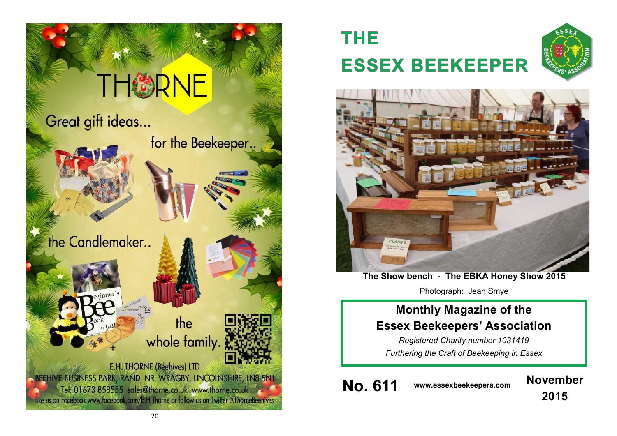

# **THE ESSEX BEEKEEPER**





**The Show bench - The EBKA Honey Show 2015**

Photograph: Jean Smye

# **Monthly Magazine of the Essex Beekeepers' Association**

*Registered Charity number 1031419 Furthering the Craft of Beekeeping in Essex*

**No. 611 www.essexbeekeepers.com November**

**2015**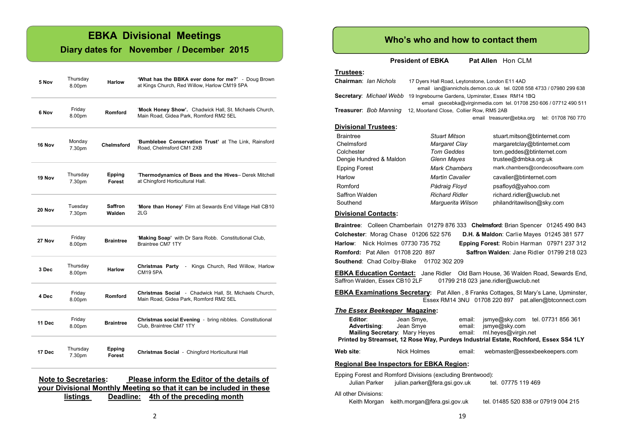# **EBKA Divisional Meetings**

### **Diary dates for November / December 2015**

| 5 Nov  | Thursday<br>8.00pm | <b>Harlow</b>            | 'What has the BBKA ever done for me?' - Doug Brown<br>at Kings Church, Red Willow, Harlow CM19 5PA      |
|--------|--------------------|--------------------------|---------------------------------------------------------------------------------------------------------|
| 6 Nov  | Friday<br>8.00pm   | Romford                  | 'Mock Honey Show'. Chadwick Hall, St. Michaels Church,<br>Main Road, Gidea Park, Romford RM2 5EL        |
| 16 Nov | Monday<br>7.30pm   | Chelmsford               | 'Bumblebee Conservation Trust' at The Link, Rainsford<br>Road, Chelmsford CM1 2XB                       |
| 19 Nov | Thursday<br>7.30pm | Epping<br>Forest         | 'Thermodynamics of Bees and the Hives- Derek Mitchell<br>at Chingford Horticultural Hall.               |
| 20 Nov | Tuesday<br>7.30pm  | <b>Saffron</b><br>Walden | 'More than Honey' Film at Sewards End Village Hall CB10<br>2LG                                          |
| 27 Nov | Friday<br>8.00pm   | <b>Braintree</b>         | 'Making Soap' with Dr Sara Robb. Constitutional Club,<br>Braintree CM7 1TY                              |
| 3 Dec  | Thursday<br>8.00pm | <b>Harlow</b>            | Christmas Party - Kings Church, Red Willow, Harlow<br><b>CM195PA</b>                                    |
| 4 Dec  | Friday<br>8.00pm   | <b>Romford</b>           | <b>Christmas Social</b> - Chadwick Hall, St. Michaels Church,<br>Main Road, Gidea Park, Romford RM2 5EL |
| 11 Dec | Friday<br>8.00pm   | <b>Braintree</b>         | Christmas social Evening - bring nibbles. Constitutional<br>Club, Braintree CM7 1TY                     |
| 17 Dec | Thursday<br>7.30pm | Epping<br>Forest         | Christmas Social - Chingford Horticultural Hall                                                         |

# **your Divisional Monthly Meeting so that it can be included in these listings Deadline: 4th of the preceding month**

# **Who's who and how to contact them**

**President of EBKA** Pat Allen Hon CLM

# **Trustees:**

| Chairman: Ian Nichols                                                        | 17 Dyers Hall Road, Leytonstone, London E11 4AD                     |                                                |  |  |  |  |  |
|------------------------------------------------------------------------------|---------------------------------------------------------------------|------------------------------------------------|--|--|--|--|--|
|                                                                              | email ian@iannichols.demon.co.uk tel. 0208 558 4733 / 07980 299 638 |                                                |  |  |  |  |  |
| Secretary: Michael Webb<br>19 Ingrebourne Gardens, Upminster, Essex RM14 1BQ |                                                                     |                                                |  |  |  |  |  |
| email qsecebka@virginmedia.com tel. 01708 250 606 / 07712 490 511            |                                                                     |                                                |  |  |  |  |  |
| Treasurer: Bob Manning                                                       | 12, Moorland Close, Collier Row, RM5 2AB                            |                                                |  |  |  |  |  |
|                                                                              |                                                                     | tel: 01708 760 770<br>email treasurer@ebka.org |  |  |  |  |  |
| <b>Divisional Trustees:</b>                                                  |                                                                     |                                                |  |  |  |  |  |
| <b>Braintree</b>                                                             | Stuart Mitson                                                       | stuart.mitson@btinternet.com                   |  |  |  |  |  |
| Chelmsford                                                                   | Margaret Clay                                                       | margaretclay@btinternet.com                    |  |  |  |  |  |
| Colchester                                                                   | Tom Geddes                                                          | tom.geddes@btinternet.com                      |  |  |  |  |  |
| Dengie Hundred & Maldon                                                      | Glenn Mayes                                                         | trustee@dmbka.org.uk                           |  |  |  |  |  |
| mark.chambers@condecosoftware.com<br>Mark Chambers<br><b>Epping Forest</b>   |                                                                     |                                                |  |  |  |  |  |
| Harlow                                                                       | <b>Martin Cavalier</b>                                              | cavalier@btinternet.com                        |  |  |  |  |  |
| Romford                                                                      | Pádraig Floyd                                                       | psafloyd@yahoo.com                             |  |  |  |  |  |
| Saffron Walden                                                               | <b>Richard Ridler</b>                                               | richard.ridler@uwclub.net                      |  |  |  |  |  |
| Southend                                                                     | Marquerita Wilson                                                   | philandritawilson@sky.com                      |  |  |  |  |  |

#### **Divisional Contacts:**

**Braintree**: Colleen Chamberlain 01279 876 333 **Chelmsford**: Brian Spencer 01245 490 843 **Colchester**: Morag Chase 01206 522 576 **D.H. & Maldon**: Carlie Mayes 01245 381 577 **Harlow**: Nick Holmes 07730 735 752 **Epping Forest**: Robin Harman 07971 237 312 **Romford:** Pat Allen 01708 220 897 **Saffron Walden**: Jane Ridler 01799 218 023 **Southend**: Chad Colby-Blake 01702 302 209

**EBKA Education Contact:** Jane Ridler Old Barn House, 36 Walden Road, Sewards End, 01799 218 023 jane.ridler@uwclub.net

**EBKA Examinations Secretary:** Pat Allen , 8 Franks Cottages, St Mary's Lane, Upminster, Essex RM14 3NU 01708 220 897 pat.allen@btconnect.com

#### *The Essex Beekeeper* **Magazine:**

| Editor:                                                    | Jean Smye,                    | email: |                     | jsmye@sky.com tel. 07731 856 361                                                      |
|------------------------------------------------------------|-------------------------------|--------|---------------------|---------------------------------------------------------------------------------------|
| Advertising:                                               | Jean Smye                     | email: | ismye@sky.com       |                                                                                       |
|                                                            | Mailing Secretary: Mary Heyes | email: | ml.heves@virgin.net |                                                                                       |
|                                                            |                               |        |                     | Printed by Streamset, 12 Rose Way, Purdeys Industrial Estate, Rochford, Essex SS4 1LY |
| Web site:                                                  | Nick Holmes                   | email: |                     | webmaster@essexbeekeepers.com                                                         |
| <b>Regional Bee Inspectors for EBKA Region:</b>            |                               |        |                     |                                                                                       |
| Epping Forest and Romford Divisions (excluding Brentwood): |                               |        |                     |                                                                                       |
| Julian Parker                                              | julian.parker@fera.gsi.gov.uk |        | tel. 07775 119 469  |                                                                                       |
| All other Divisions:                                       |                               |        |                     |                                                                                       |

Keith Morgan keith.morgan@fera.gsi.gov.uk tel. 01485 520 838 or 07919 004 215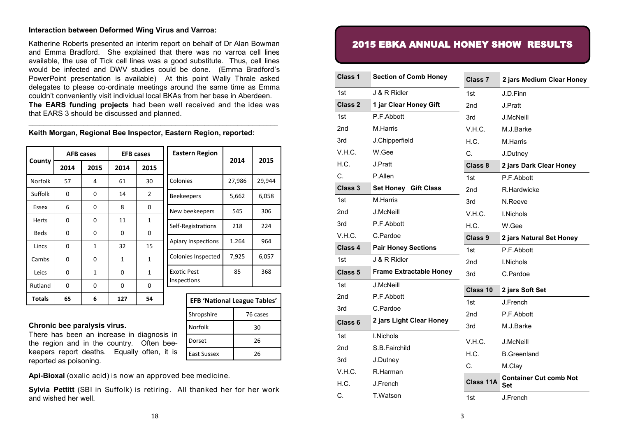#### **Interaction between Deformed Wing Virus and Varroa:**

Katherine Roberts presented an interim report on behalf of Dr Alan Bowman and Emma Bradford. She explained that there was no varroa cell lines available, the use of Tick cell lines was a good substitute. Thus, cell lines would be infected and DWV studies could be done. (Emma Bradford's PowerPoint presentation is available) At this point Wally Thrale asked delegates to please co-ordinate meetings around the same time as Emma couldn't conveniently visit individual local BKAs from her base in Aberdeen.

**The EARS funding projects** had been well received and the idea was that EARS 3 should be discussed and planned. \_\_\_\_\_\_\_\_\_\_\_\_\_\_\_\_\_\_\_\_\_\_\_\_\_\_\_\_\_\_\_\_\_\_\_\_\_\_\_\_\_\_\_\_\_\_\_\_\_\_\_\_\_\_\_\_\_\_\_\_\_\_\_\_\_\_\_\_

**Keith Morgan, Regional Bee Inspector, Eastern Region, reported:**

|               |          | <b>AFB</b> cases | <b>EFB cases</b> |                | <b>Eastern Region</b>               | 2014   | 2015   |
|---------------|----------|------------------|------------------|----------------|-------------------------------------|--------|--------|
| County        | 2014     | 2015             | 2014             | 2015           |                                     |        |        |
| Norfolk       | 57       | 4                | 61               | 30             | Colonies                            | 27,986 | 29,944 |
| Suffolk       | $\Omega$ | $\Omega$         | 14               | $\overline{2}$ | <b>Beekeepers</b>                   | 5,662  | 6,058  |
| Essex         | 6        | $\Omega$         | 8                | $\mathbf 0$    | New beekeepers                      | 545    | 306    |
| <b>Herts</b>  | $\Omega$ | $\Omega$         | 11               | $\mathbf{1}$   | Self-Registrations                  | 218    | 224    |
| <b>Beds</b>   | $\Omega$ | $\Omega$         | $\Omega$         | $\mathbf 0$    |                                     |        |        |
| Lincs         | $\Omega$ | $\mathbf{1}$     | 32               | 15             | <b>Apiary Inspections</b>           | 1.264  | 964    |
| Cambs         | $\Omega$ | $\Omega$         | $\mathbf{1}$     | $\mathbf{1}$   | Colonies Inspected                  | 7,925  | 6,057  |
| Leics         | $\Omega$ | $\mathbf{1}$     | $\Omega$         | $\mathbf{1}$   | <b>Exotic Pest</b>                  | 85     | 368    |
| Rutland       | 0        | 0                | 0                | $\mathbf 0$    | Inspections                         |        |        |
| <b>Totals</b> | 65       | 6                | 127              | 54             | <b>EFB 'National League Tables'</b> |        |        |

|   | <b>EFB 'National League Tables'</b> |          |  |  |  |  |
|---|-------------------------------------|----------|--|--|--|--|
|   | Shropshire                          | 76 cases |  |  |  |  |
|   | Norfolk                             | 30       |  |  |  |  |
|   | Dorset                              | 26       |  |  |  |  |
| ì | East Sussex                         | 26       |  |  |  |  |

#### **Chronic bee paralysis virus.**

There has been an increase in diagnosis in the region and in the country. Often beekeepers report deaths. Equally often, it is reported as poisoning.

|  |  | Api-Bioxal (oxalic acid) is now an approved bee medicine. |  |
|--|--|-----------------------------------------------------------|--|
|--|--|-----------------------------------------------------------|--|

**Sylvia Pettitt** (SBI in Suffolk) is retiring. All thanked her for her work and wished her well.

# 2015 EBKA ANNUAL HONEY SHOW RESULTS

| <b>Class 1</b>     | <b>Section of Comb Honey</b>   | Class <sub>7</sub> | 2 jars Medium Clear Honey            |
|--------------------|--------------------------------|--------------------|--------------------------------------|
| 1st                | J & R Ridler                   | 1st                | J.D.Finn                             |
| <b>Class 2</b>     | 1 jar Clear Honey Gift         | 2nd                | J.Pratt                              |
| 1st                | P.F.Abbott                     | 3rd                | <b>J.McNeill</b>                     |
| 2 <sub>nd</sub>    | M.Harris                       | V.H.C.             | M.J.Barke                            |
| 3rd                | J.Chipperfield                 | H.C.               | M.Harris                             |
| V.H.C.             | W.Gee                          | C.                 | J.Dutney                             |
| H.C.               | J.Pratt                        | Class 8            | 2 jars Dark Clear Honey              |
| C.                 | P.Allen                        | 1st                | P.F.Abbott                           |
| Class 3            | <b>Set Honey Gift Class</b>    |                    | R.Hardwicke                          |
| 1st                | M.Harris                       | 3rd                | N.Reeve                              |
| 2nd                | J.McNeill                      | V.H.C.             | <b>I.Nichols</b>                     |
| 3rd                | P.F.Abbott                     | H.C.               | W.Gee                                |
| V.H.C.             | C.Pardoe                       | Class 9            | 2 jars Natural Set Honey             |
| Class 4            |                                |                    |                                      |
|                    | <b>Pair Honey Sections</b>     | 1st                | P.F.Abbott                           |
| 1st                | J & R Ridler                   | 2nd                | <b>I.Nichols</b>                     |
| Class <sub>5</sub> | <b>Frame Extractable Honey</b> | 3rd                | C.Pardoe                             |
| 1st                | <b>J.McNeill</b>               |                    |                                      |
| 2nd                | P.F.Abbott                     | Class 10           | 2 jars Soft Set                      |
| 3rd                | C.Pardoe                       | 1st                | J.French                             |
| Class 6            | 2 jars Light Clear Honey       | 2nd<br>3rd         | P.F.Abbott<br>M.J.Barke              |
| 1st                | <b>I.Nichols</b>               |                    |                                      |
| 2nd                | S.B.Fairchild                  | V.H.C.             | <b>J.McNeill</b>                     |
| 3rd                | J.Dutney                       | H.C.               | <b>B.Greenland</b>                   |
| V.H.C.             | R.Harman                       | C.                 | M.Clay                               |
| H.C.               | J.French                       | Class 11A          | <b>Container Cut comb Not</b><br>Set |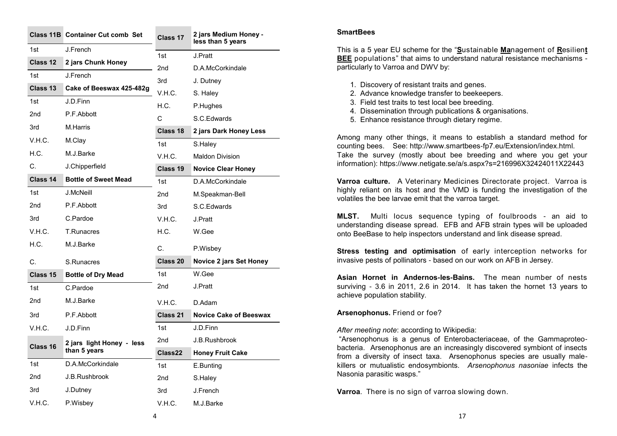|          | <b>Class 11B Container Cut comb Set</b> | Class 17               | 2 jars Medium Honey -<br>less than 5 years |
|----------|-----------------------------------------|------------------------|--------------------------------------------|
| 1st      | J.French                                |                        | J.Pratt                                    |
| Class 12 | 2 jars Chunk Honey                      | 1st<br>2 <sub>nd</sub> | D.A.McCorkindale                           |
| 1st      | J.French                                |                        |                                            |
| Class 13 | Cake of Beeswax 425-482g                | 3rd                    | J. Dutney                                  |
| 1st      | J.D.Finn                                | V.H.C.<br>H.C.         | S. Haley                                   |
| 2nd      | P.F.Abbott                              | C                      | P.Hughes<br>S.C.Edwards                    |
| 3rd      | M.Harris                                | Class 18               |                                            |
| V.H.C.   | M.Clay                                  |                        | 2 jars Dark Honey Less                     |
| H.C.     | M.J.Barke                               | 1st<br>V.H.C.          | S.Haley<br><b>Maldon Division</b>          |
| C.       | J.Chipperfield                          |                        |                                            |
| Class 14 | <b>Bottle of Sweet Mead</b>             | Class 19               | <b>Novice Clear Honey</b>                  |
| 1st      | J.McNeill                               | 1st                    | D.A.McCorkindale                           |
|          |                                         | 2 <sub>nd</sub>        | M.Speakman-Bell                            |
| 2nd      | P.F.Abbott                              | 3rd                    | S.C.Edwards                                |
| 3rd      | C.Pardoe                                | V.H.C.                 | J.Pratt                                    |
| V.H.C.   | <b>T.Runacres</b>                       | H.C.                   | W.Gee                                      |
| H.C.     | M.J.Barke                               | C.                     | P.Wisbey                                   |
| C.       | S.Runacres                              | <b>Class 20</b>        | Novice 2 jars Set Honey                    |
| Class 15 | <b>Bottle of Dry Mead</b>               | 1st                    | W.Gee                                      |
| 1st      | C.Pardoe                                | 2nd                    | J.Pratt                                    |
| 2nd      | M.J.Barke                               | V.H.C.                 | D.Adam                                     |
| 3rd      | P.F.Abbott                              | Class 21               | <b>Novice Cake of Beeswax</b>              |
| V.H.C.   | J.D.Finn                                | 1st                    | J.D.Finn                                   |
| Class 16 | 2 jars light Honey - less               | 2 <sub>nd</sub>        | J.B.Rushbrook                              |
|          | than 5 years                            | Class22                | <b>Honey Fruit Cake</b>                    |
| 1st      | D.A.McCorkindale                        | 1st                    | E.Bunting                                  |
| 2nd      | J.B.Rushbrook                           | 2nd                    | S.Haley                                    |
| 3rd      | J.Dutney                                | 3rd                    | J.French                                   |
| V.H.C.   | P.Wisbey                                | V.H.C.                 | M.J.Barke                                  |
|          |                                         |                        |                                            |

#### **SmartBees**

This is a 5 year EU scheme for the "**S**ustainable **Ma**nagement of **R**esilien**t BEE** populations" that aims to understand natural resistance mechanisms particularly to Varroa and DWV by:

- 1. Discovery of resistant traits and genes.
- 2. Advance knowledge transfer to beekeepers.
- 3. Field test traits to test local bee breeding.
- 4. Dissemination through publications & organisations.
- 5. Enhance resistance through dietary regime.

Among many other things, it means to establish a standard method for counting bees. See: http://www.smartbees-fp7.eu/Extension/index.html. Take the survey (mostly about bee breeding and where you get your information): https://www.netigate.se/a/s.aspx?s=216996X32424011X22443

**Varroa culture.** A Veterinary Medicines Directorate project. Varroa is highly reliant on its host and the VMD is funding the investigation of the volatiles the bee larvae emit that the varroa target.

**MLST.** Multi locus sequence typing of foulbroods - an aid to understanding disease spread. EFB and AFB strain types will be uploaded onto BeeBase to help inspectors understand and link disease spread.

**Stress testing and optimisation** of early interception networks for invasive pests of pollinators - based on our work on AFB in Jersey.

**Asian Hornet in Andernos-les-Bains.** The mean number of nests surviving - 3.6 in 2011, 2.6 in 2014. It has taken the hornet 13 years to achieve population stability.

#### **Arsenophonus.** Friend or foe?

*After meeting note*: according to Wikipedia:

"Arsenophonus is a genus of Enterobacteriaceae, of the Gammaproteobacteria. Arsenophonus are an increasingly discovered symbiont of insects from a diversity of insect taxa. Arsenophonus species are usually malekillers or mutualistic endosymbionts. *Arsenophonus nasoniae* infects the Nasonia parasitic wasps."

**Varroa**. There is no sign of varroa slowing down.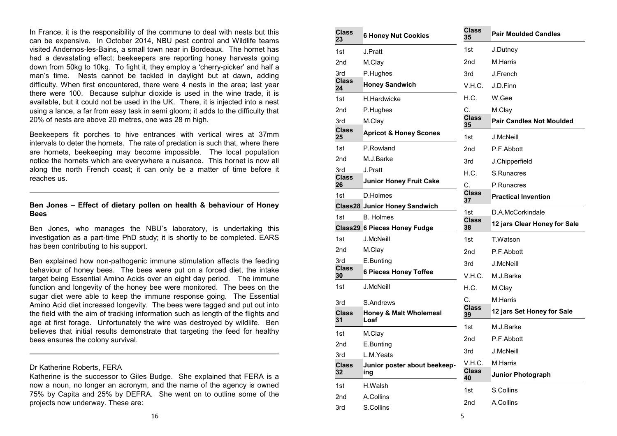In France, it is the responsibility of the commune to deal with nests but this can be expensive. In October 2014, NBU pest control and Wildlife teams visited Andernos-les-Bains, a small town near in Bordeaux. The hornet has had a devastating effect; beekeepers are reporting honey harvests going down from 50kg to 10kg. To fight it, they employ a 'cherry-picker' and half a man's time. Nests cannot be tackled in daylight but at dawn, adding difficulty. When first encountered, there were 4 nests in the area; last year there were 100. Because sulphur dioxide is used in the wine trade, it is available, but it could not be used in the UK. There, it is injected into a nest using a lance, a far from easy task in semi gloom; it adds to the difficulty that 20% of nests are above 20 metres, one was 28 m high.

Beekeepers fit porches to hive entrances with vertical wires at 37mm intervals to deter the hornets. The rate of predation is such that, where there are hornets, beekeeping may become impossible. The local population notice the hornets which are everywhere a nuisance. This hornet is now all along the north French coast; it can only be a matter of time before it reaches us.

#### **Ben Jones – Effect of dietary pollen on health & behaviour of Honey Bees**

Ben Jones, who manages the NBU's laboratory, is undertaking this investigation as a part-time PhD study; it is shortly to be completed. EARS has been contributing to his support.

Ben explained how non-pathogenic immune stimulation affects the feeding behaviour of honey bees. The bees were put on a forced diet, the intake target being Essential Amino Acids over an eight day period. The immune function and longevity of the honey bee were monitored. The bees on the sugar diet were able to keep the immune response going. The Essential Amino Acid diet increased longevity. The bees were tagged and put out into the field with the aim of tracking information such as length of the flights and age at first forage. Unfortunately the wire was destroyed by wildlife. Ben believes that initial results demonstrate that targeting the feed for healthy bees ensures the colony survival.

#### Dr Katherine Roberts, FERA

Katherine is the successor to Giles Budge. She explained that FERA is a now a noun, no longer an acronym, and the name of the agency is owned 75% by Capita and 25% by DEFRA. She went on to outline some of the projects now underway. These are:

| <b>Class</b><br>23  | <b>6 Honey Nut Cookies</b>           | <b>Class</b><br>35 | <b>Pair Moulded Candles</b>     |
|---------------------|--------------------------------------|--------------------|---------------------------------|
| 1st                 | J.Pratt                              | 1st                | J.Dutney                        |
| 2nd                 | M.Clay                               | 2nd                | M.Harris                        |
| 3rd                 | P.Hughes                             | 3rd                | J.French                        |
| <b>Class</b><br>24  | <b>Honey Sandwich</b>                | V.H.C.             | J.D.Finn                        |
| 1st                 | H.Hardwicke                          | H.C.               | W.Gee                           |
| 2nd                 | P.Hughes                             | C.                 | M.Clay                          |
| 3rd                 | M.Clay                               | <b>Class</b><br>35 | <b>Pair Candles Not Moulded</b> |
| <b>Class</b><br>25  | <b>Apricot &amp; Honey Scones</b>    | 1st                | <b>J.McNeill</b>                |
| 1st                 | P.Rowland                            | 2nd                | P.F.Abbott                      |
| 2nd                 | M.J.Barke                            | 3rd                | J.Chipperfield                  |
| 3rd                 | J.Pratt                              | H.C.               | S.Runacres                      |
| <b>Class</b><br>26  | <b>Junior Honey Fruit Cake</b>       | C.                 | P.Runacres                      |
| 1st                 | D.Holmes                             | <b>Class</b><br>37 | <b>Practical Invention</b>      |
|                     | <b>Class28 Junior Honey Sandwich</b> | 1st                | D.A.McCorkindale                |
| 1st                 | <b>B.</b> Holmes                     | <b>Class</b>       | 12 jars Clear Honey for Sale    |
|                     | <b>Class29 6 Pieces Honey Fudge</b>  | 38                 |                                 |
| 1st                 | J.McNeill                            | 1st                | T.Watson                        |
| 2nd                 | M.Clay                               | 2nd                | P.F.Abbott                      |
| 3rd<br><b>Class</b> | E.Bunting                            | 3rd                | <b>J.McNeill</b>                |
| 30                  | <b>6 Pieces Honey Toffee</b>         | V.H.C.             | M.J.Barke                       |
| 1st                 | <b>J.McNeill</b>                     | H.C.               | M.Clay                          |
| 3rd                 | S.Andrews                            | C.                 | M.Harris                        |
|                     |                                      |                    |                                 |
| <b>Class</b>        | <b>Honey &amp; Malt Wholemeal</b>    | <b>Class</b><br>39 | 12 jars Set Honey for Sale      |
| 31                  | Loaf                                 | 1st                | M.J.Barke                       |
| 1st                 | M.Clay                               | 2nd                | P.F.Abbott                      |
| 2nd                 | E.Bunting                            | 3rd                | <b>J.McNeill</b>                |
| 3rd<br><b>Class</b> | L.M.Yeats                            | V.H.C.             | M.Harris                        |
| 32                  | Junior poster about beekeep-<br>ing  | <b>Class</b>       | <b>Junior Photograph</b>        |
| 1st                 | H.Walsh                              | 40                 |                                 |
| 2nd                 | A.Collins<br>S.Collins               | 1st<br>2nd         | S.Collins<br>A.Collins          |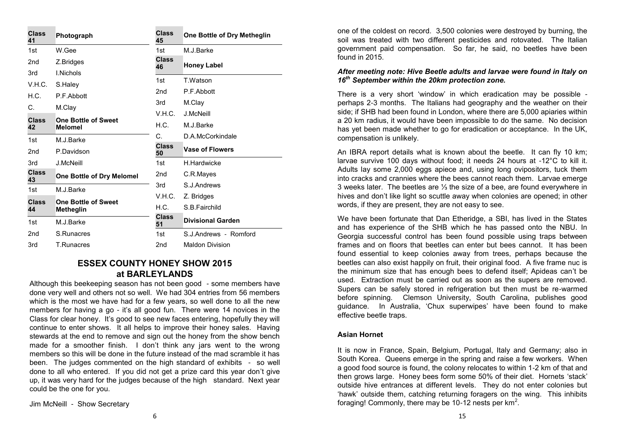| <b>Class</b><br>41 | Photograph                              | <b>Class</b><br>45 | One Bottle of Dry Metheglin |
|--------------------|-----------------------------------------|--------------------|-----------------------------|
| 1st                | W.Gee                                   | 1st                | M.J.Barke                   |
| 2 <sub>nd</sub>    | Z.Bridges                               | <b>Class</b><br>46 | Honey Label                 |
| 3rd                | <b>I.Nichols</b>                        |                    |                             |
| V.H.C.             | S.Haley                                 | 1st                | T.Watson                    |
| H.C.               | P.F.Abbott                              | 2nd                | P.F.Abbott                  |
| C.                 | M.Clay                                  | 3rd                | M.Clay                      |
| <b>Class</b>       | <b>One Bottle of Sweet</b>              | V.H.C.             | J.McNeill                   |
| 42                 | <b>Melomel</b>                          | H.C.               | M.J.Barke                   |
| 1st                | M.J.Barke                               | C.                 | D.A.McCorkindale            |
|                    |                                         |                    |                             |
| 2 <sub>nd</sub>    | P.Davidson                              | <b>Class</b><br>50 | <b>Vase of Flowers</b>      |
| 3rd                | <b>J.McNeill</b>                        | 1st                | H.Hardwicke                 |
| <b>Class</b>       | One Bottle of Dry Melomel               | 2nd                | C.R.Mayes                   |
| 43                 |                                         | 3rd                | S.J.Andrews                 |
| 1st                | M.J.Barke                               | V.H.C.             | Z. Bridges                  |
| <b>Class</b><br>44 | <b>One Bottle of Sweet</b><br>Metheglin | H.C.               | S.B.Fairchild               |
| 1st                | M.J.Barke                               | <b>Class</b><br>51 | <b>Divisional Garden</b>    |
| 2 <sub>nd</sub>    | S.Runacres                              | 1st                | S.J.Andrews - Romford       |

### **ESSEX COUNTY HONEY SHOW 2015 at BARLEYLANDS**

Although this beekeeping season has not been good - some members have done very well and others not so well. We had 304 entries from 56 members which is the most we have had for a few years, so well done to all the new members for having a go - it's all good fun. There were 14 novices in the Class for clear honey. It's good to see new faces entering, hopefully they will continue to enter shows. It all helps to improve their honey sales. Having stewards at the end to remove and sign out the honey from the show bench made for a smoother finish. I don't think any jars went to the wrong members so this will be done in the future instead of the mad scramble it has been. The judges commented on the high standard of exhibits - so well done to all who entered. If you did not get a prize card this year don't give up, it was very hard for the judges because of the high standard. Next year could be the one for you.

Jim McNeill - Show Secretary

one of the coldest on record. 3,500 colonies were destroyed by burning, the soil was treated with two different pesticides and rotovated. The Italian government paid compensation. So far, he said, no beetles have been found in 2015.

#### *After meeting note: Hive Beetle adults and larvae were found in Italy on 16th September within the 20km protection zone.*

There is a very short 'window' in which eradication may be possible perhaps 2-3 months. The Italians had geography and the weather on their side; if SHB had been found in London, where there are 5,000 apiaries within a 20 km radius, it would have been impossible to do the same. No decision has yet been made whether to go for eradication or acceptance. In the UK, compensation is unlikely.

An IBRA report details what is known about the beetle. It can fly 10 km; larvae survive 100 days without food; it needs 24 hours at -12°C to kill it. Adults lay some 2,000 eggs apiece and, using long ovipositors, tuck them into cracks and crannies where the bees cannot reach them. Larvae emerge 3 weeks later. The beetles are ⅓ the size of a bee, are found everywhere in hives and don't like light so scuttle away when colonies are opened; in other words, if they are present, they are not easy to see.

We have been fortunate that Dan Etheridge, a SBI, has lived in the States and has experience of the SHB which he has passed onto the NBU. In Georgia successful control has been found possible using traps between frames and on floors that beetles can enter but bees cannot. It has been found essential to keep colonies away from trees, perhaps because the beetles can also exist happily on fruit, their original food. A five frame nuc is the minimum size that has enough bees to defend itself; Apideas can't be used. Extraction must be carried out as soon as the supers are removed. Supers can be safely stored in refrigeration but then must be re-warmed before spinning. Clemson University, South Carolina, publishes good guidance. In Australia, 'Chux superwipes' have been found to make effective beetle traps.

#### **Asian Hornet**

It is now in France, Spain, Belgium, Portugal, Italy and Germany; also in South Korea. Queens emerge in the spring and raise a few workers. When a good food source is found, the colony relocates to within 1-2 km of that and then grows large. Honey bees form some 50% of their diet. Hornets 'stack' outside hive entrances at different levels. They do not enter colonies but 'hawk' outside them, catching returning foragers on the wing. This inhibits foraging! Commonly, there may be 10-12 nests per km<sup>2</sup>.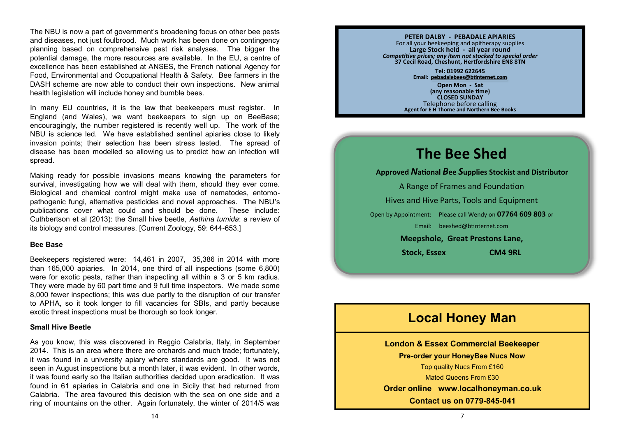The NBU is now a part of government's broadening focus on other bee pests and diseases, not just foulbrood. Much work has been done on contingency planning based on comprehensive pest risk analyses. The bigger the potential damage, the more resources are available. In the EU, a centre of excellence has been established at ANSES, the French national Agency for Food, Environmental and Occupational Health & Safety. Bee farmers in the DASH scheme are now able to conduct their own inspections. New animal health legislation will include honey and bumble bees.

In many EU countries, it is the law that beekeepers must register. In England (and Wales), we want beekeepers to sign up on BeeBase; encouragingly, the number registered is recently well up. The work of the NBU is science led. We have established sentinel apiaries close to likely invasion points; their selection has been stress tested. The spread of disease has been modelled so allowing us to predict how an infection will spread.

Making ready for possible invasions means knowing the parameters for survival, investigating how we will deal with them, should they ever come. Biological and chemical control might make use of nematodes, entomopathogenic fungi, alternative pesticides and novel approaches. The NBU's publications cover what could and should be done. These include: Cuthbertson et al (2013): the Small hive beetle, *Aethina tumida*: a review of its biology and control measures. [Current Zoology, 59: 644-653.]

#### **Bee Base**

Beekeepers registered were: 14,461 in 2007, 35,386 in 2014 with more than 165,000 apiaries. In 2014, one third of all inspections (some 6,800) were for exotic pests, rather than inspecting all within a 3 or 5 km radius. They were made by 60 part time and 9 full time inspectors. We made some 8,000 fewer inspections; this was due partly to the disruption of our transfer to APHA, so it took longer to fill vacancies for SBIs, and partly because exotic threat inspections must be thorough so took longer.

#### **Small Hive Beetle**

As you know, this was discovered in Reggio Calabria, Italy, in September 2014. This is an area where there are orchards and much trade; fortunately, it was found in a university apiary where standards are good. It was not seen in August inspections but a month later, it was evident. In other words, it was found early so the Italian authorities decided upon eradication. It was found in 61 apiaries in Calabria and one in Sicily that had returned from Calabria. The area favoured this decision with the sea on one side and a ring of mountains on the other. Again fortunately, the winter of 2014/5 was

#### **PETER DALBY - PEBADALE APIARIES**

For all your beekeeping and apitherapy supplies **Large Stock held - all year round** *Competitive prices; any item not stocked to special order* **37 Cecil Road, Cheshunt, Hertfordshire EN8 8TN**

> **Tel: 01992 622645 Email: [pebadalebees@btinternet.com](mailto:pebadalebees@btinternet.com)**

**Open Mon - Sat (any reasonable time) CLOSED SUNDAY** Telephone before calling **Agent for E H Thorne and Northern Bee Books**

# **The Bee Shed**

**Approved** *N***ational** *B***ee** *S***upplies Stockist and Distributor**

A Range of Frames and Foundation Hives and Hive Parts, Tools and Equipment Open by Appointment: Please call Wendy on **07764 609 803** or Email: [beeshed@btinternet.com](mailto:beeshed@btinternet.com)  **Meepshole, Great Prestons Lane, Stock, Essex CM4 9RL**

# **Local Honey Man**

**London & Essex Commercial Beekeeper Pre-order your HoneyBee Nucs Now** Top quality Nucs From £160 Mated Queens From £30 **Order online [www.localhoneyman.co.uk](http://www.localhoneyman.co.uk) Contact us on 0779-845-041**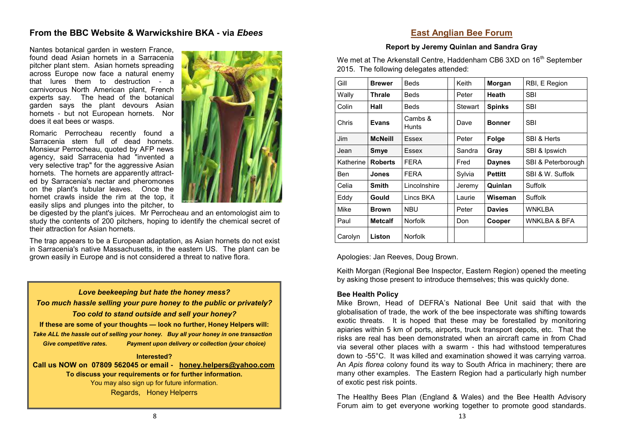## **From the BBC Website & Warwickshire BKA - via** *Ebees*

Nantes botanical garden in western France, found dead Asian hornets in a Sarracenia pitcher plant stem. Asian hornets spreading across Europe now face a natural enemy that lures them to destruction -  $\overrightarrow{a}$ carnivorous North American plant, French experts say. The head of the botanical garden says the plant devours Asian hornets - but not European hornets. Nor does it eat bees or wasps.

Romaric Perrocheau recently found a Sarracenia stem full of dead hornets. Monsieur Perrocheau, quoted by AFP news agency, said Sarracenia had "invented a very selective trap" for the aggressive Asian hornets. The hornets are apparently attracted by Sarracenia's nectar and pheromones on the plant's tubular leaves. Once the hornet crawls inside the rim at the top, it easily slips and plunges into the pitcher, to



be digested by the plant's juices. Mr Perrocheau and an entomologist aim to study the contents of 200 pitchers, hoping to identify the chemical secret of their attraction for Asian hornets.

The trap appears to be a European adaptation, as Asian hornets do not exist in Sarracenia's native Massachusetts, in the eastern US. The plant can be grown easily in Europe and is not considered a threat to native flora.



**East Anglian Bee Forum** 

#### **Report by Jeremy Quinlan and Sandra Gray**

We met at The Arkenstall Centre, Haddenham CB6 3XD on 16<sup>th</sup> September 2015. The following delegates attended:

| Gill       | <b>Brewer</b>  | <b>Beds</b>      | Keith   | Morgan         | RBI, E Region           |
|------------|----------------|------------------|---------|----------------|-------------------------|
| Wally      | <b>Thrale</b>  | Beds             | Peter   | Heath          | <b>SBI</b>              |
| Colin      | Hall           | Beds             | Stewart | <b>Spinks</b>  | <b>SBI</b>              |
| Chris      | <b>Evans</b>   | Cambs &<br>Hunts | Dave    | <b>Bonner</b>  | <b>SBI</b>              |
| <b>Jim</b> | <b>McNeill</b> | Essex            | Peter   | Folge          | SBI & Herts             |
| Jean       | Smye           | Essex            | Sandra  | Gray           | SBI & Ipswich           |
| Katherine  | <b>Roberts</b> | <b>FERA</b>      | Fred    | <b>Daynes</b>  | SBI & Peterborough      |
| <b>Ben</b> | Jones          | <b>FERA</b>      | Sylvia  | <b>Pettitt</b> | SBI & W. Suffolk        |
| Celia      | Smith          | Lincolnshire     | Jeremy  | Quinlan        | Suffolk                 |
| Eddy       | Gould          | Lincs BKA        | Laurie  | Wiseman        | Suffolk                 |
| Mike       | <b>Brown</b>   | <b>NBU</b>       | Peter   | <b>Davies</b>  | <b>WNKLBA</b>           |
| Paul       | <b>Metcalf</b> | <b>Norfolk</b>   | Don     | Cooper         | <b>WNKLBA &amp; BFA</b> |
| Carolyn    | Liston         | <b>Norfolk</b>   |         |                |                         |

Apologies: Jan Reeves, Doug Brown.

Keith Morgan (Regional Bee Inspector, Eastern Region) opened the meeting by asking those present to introduce themselves; this was quickly done.

#### **Bee Health Policy**

Mike Brown, Head of DEFRA's National Bee Unit said that with the globalisation of trade, the work of the bee inspectorate was shifting towards exotic threats. It is hoped that these may be forestalled by monitoring apiaries within 5 km of ports, airports, truck transport depots, etc. That the risks are real has been demonstrated when an aircraft came in from Chad via several other places with a swarm - this had withstood temperatures down to -55°C. It was killed and examination showed it was carrying varroa. An *Apis florea* colony found its way to South Africa in machinery; there are many other examples. The Eastern Region had a particularly high number of exotic pest risk points.

The Healthy Bees Plan (England & Wales) and the Bee Health Advisory Forum aim to get everyone working together to promote good standards.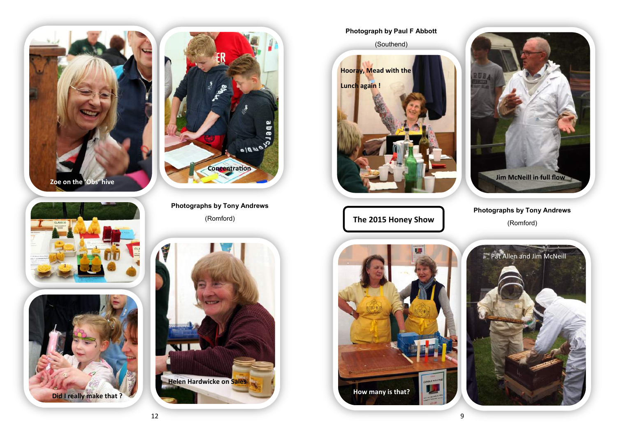**Zoe on the 'Obs' hive**







**Photographs by Tony Andrews** (Romford)



### **Photograph by Paul F Abbott**

(Southend)



**Jim McNeill in full flow**

**Photographs by Tony Andrews**  (Romford)

**The 2015 Honey Show**